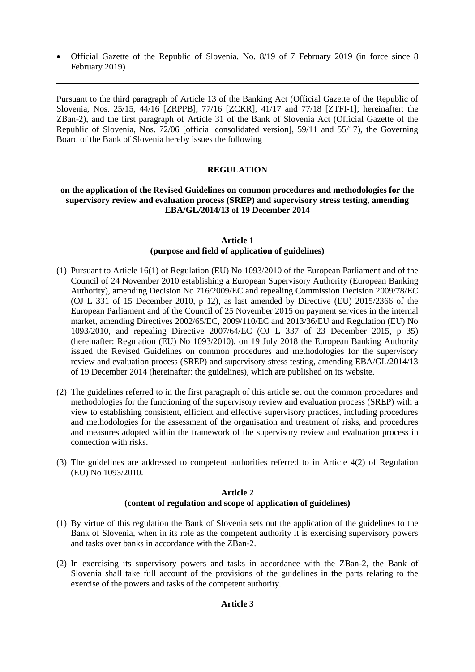Official Gazette of the Republic of Slovenia, No. 8/19 of 7 February 2019 (in force since 8 February 2019)

Pursuant to the third paragraph of Article 13 of the Banking Act (Official Gazette of the Republic of Slovenia, Nos. 25/15, 44/16 [ZRPPB], 77/16 [ZCKR], 41/17 and 77/18 [ZTFI-1]; hereinafter: the ZBan-2), and the first paragraph of Article 31 of the Bank of Slovenia Act (Official Gazette of the Republic of Slovenia, Nos. 72/06 [official consolidated version], 59/11 and 55/17), the Governing Board of the Bank of Slovenia hereby issues the following

# **REGULATION**

## **on the application of the Revised Guidelines on common procedures and methodologies for the supervisory review and evaluation process (SREP) and supervisory stress testing, amending EBA/GL/2014/13 of 19 December 2014**

## **Article 1 (purpose and field of application of guidelines)**

- (1) Pursuant to Article 16(1) of Regulation (EU) No 1093/2010 of the European Parliament and of the Council of 24 November 2010 establishing a European Supervisory Authority (European Banking Authority), amending Decision No 716/2009/EC and repealing Commission Decision 2009/78/EC (OJ L 331 of 15 December 2010, p 12), as last amended by Directive (EU) 2015/2366 of the European Parliament and of the Council of 25 November 2015 on payment services in the internal market, amending Directives 2002/65/EC, 2009/110/EC and 2013/36/EU and Regulation (EU) No 1093/2010, and repealing Directive 2007/64/EC (OJ L 337 of 23 December 2015, p 35) (hereinafter: Regulation (EU) No 1093/2010), on 19 July 2018 the European Banking Authority issued the Revised Guidelines on common procedures and methodologies for the supervisory review and evaluation process (SREP) and supervisory stress testing, amending EBA/GL/2014/13 of 19 December 2014 (hereinafter: the guidelines), which are published on its website.
- (2) The guidelines referred to in the first paragraph of this article set out the common procedures and methodologies for the functioning of the supervisory review and evaluation process (SREP) with a view to establishing consistent, efficient and effective supervisory practices, including procedures and methodologies for the assessment of the organisation and treatment of risks, and procedures and measures adopted within the framework of the supervisory review and evaluation process in connection with risks.
- (3) The guidelines are addressed to competent authorities referred to in Article 4(2) of Regulation (EU) No 1093/2010.

#### **Article 2 (content of regulation and scope of application of guidelines)**

- (1) By virtue of this regulation the Bank of Slovenia sets out the application of the guidelines to the Bank of Slovenia, when in its role as the competent authority it is exercising supervisory powers and tasks over banks in accordance with the ZBan-2.
- (2) In exercising its supervisory powers and tasks in accordance with the ZBan-2, the Bank of Slovenia shall take full account of the provisions of the guidelines in the parts relating to the exercise of the powers and tasks of the competent authority.

#### **Article 3**